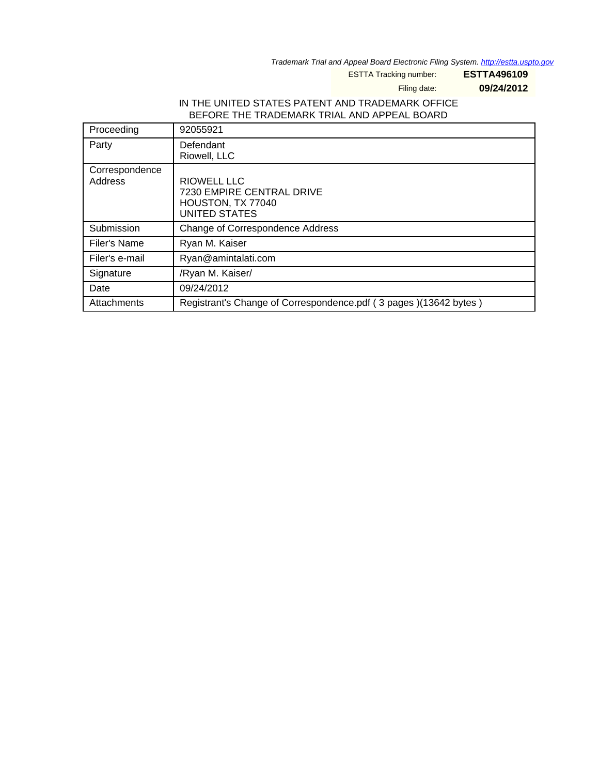Trademark Trial and Appeal Board Electronic Filing System. <http://estta.uspto.gov>

ESTTA Tracking number: **ESTTA496109**

Filing date: **09/24/2012**

### IN THE UNITED STATES PATENT AND TRADEMARK OFFICE BEFORE THE TRADEMARK TRIAL AND APPEAL BOARD

| Proceeding                | 92055921                                                                                     |
|---------------------------|----------------------------------------------------------------------------------------------|
| Party                     | Defendant<br>Riowell, LLC                                                                    |
| Correspondence<br>Address | RIOWELL LLC<br><b>7230 EMPIRE CENTRAL DRIVE</b><br>HOUSTON, TX 77040<br><b>UNITED STATES</b> |
| Submission                | Change of Correspondence Address                                                             |
| Filer's Name              | Ryan M. Kaiser                                                                               |
| Filer's e-mail            | Ryan@amintalati.com                                                                          |
| Signature                 | /Ryan M. Kaiser/                                                                             |
| Date                      | 09/24/2012                                                                                   |
| Attachments               | Registrant's Change of Correspondence.pdf (3 pages) (13642 bytes)                            |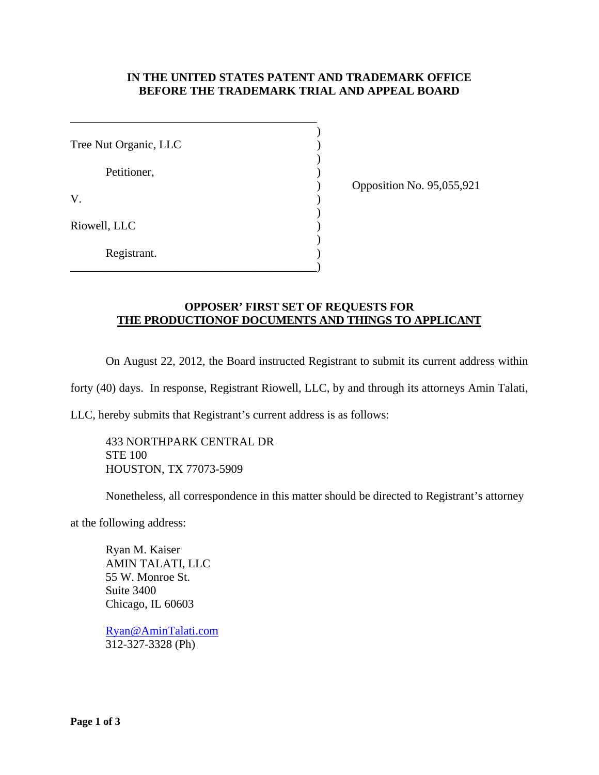### **IN THE UNITED STATES PATENT AND TRADEMARK OFFICE BEFORE THE TRADEMARK TRIAL AND APPEAL BOARD**

| Tree Nut Organic, LLC |  |
|-----------------------|--|
| Petitioner,           |  |
| V.                    |  |
| Riowell, LLC          |  |
| Registrant.           |  |

\_\_\_\_\_\_\_\_\_\_\_\_\_\_\_\_\_\_\_\_\_\_\_\_\_\_\_\_\_\_\_\_\_\_\_\_\_\_\_\_\_\_

) Opposition No. 95,055,921

### **OPPOSER' FIRST SET OF REQUESTS FOR THE PRODUCTIONOF DOCUMENTS AND THINGS TO APPLICANT**

On August 22, 2012, the Board instructed Registrant to submit its current address within

forty (40) days. In response, Registrant Riowell, LLC, by and through its attorneys Amin Talati,

LLC, hereby submits that Registrant's current address is as follows:

433 NORTHPARK CENTRAL DR STE 100 HOUSTON, TX 77073-5909

Nonetheless, all correspondence in this matter should be directed to Registrant's attorney

at the following address:

Ryan M. Kaiser AMIN TALATI, LLC 55 W. Monroe St. Suite 3400 Chicago, IL 60603

Ryan@AminTalati.com 312-327-3328 (Ph)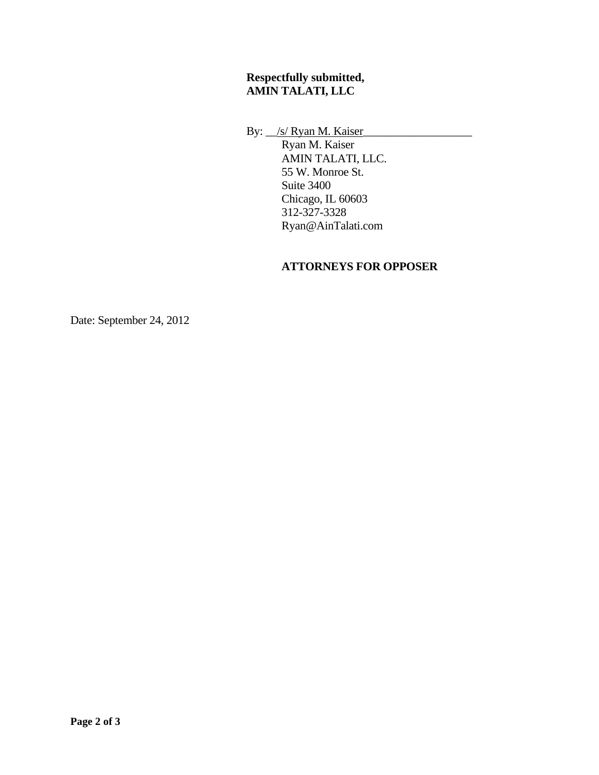## **Respectfully submitted, AMIN TALATI, LLC**

By:  $\angle$ /s/ Ryan M. Kaiser

 Ryan M. Kaiser AMIN TALATI, LLC. 55 W. Monroe St. Suite 3400 Chicago, IL 60603 312-327-3328 Ryan@AinTalati.com

# **ATTORNEYS FOR OPPOSER**

Date: September 24, 2012